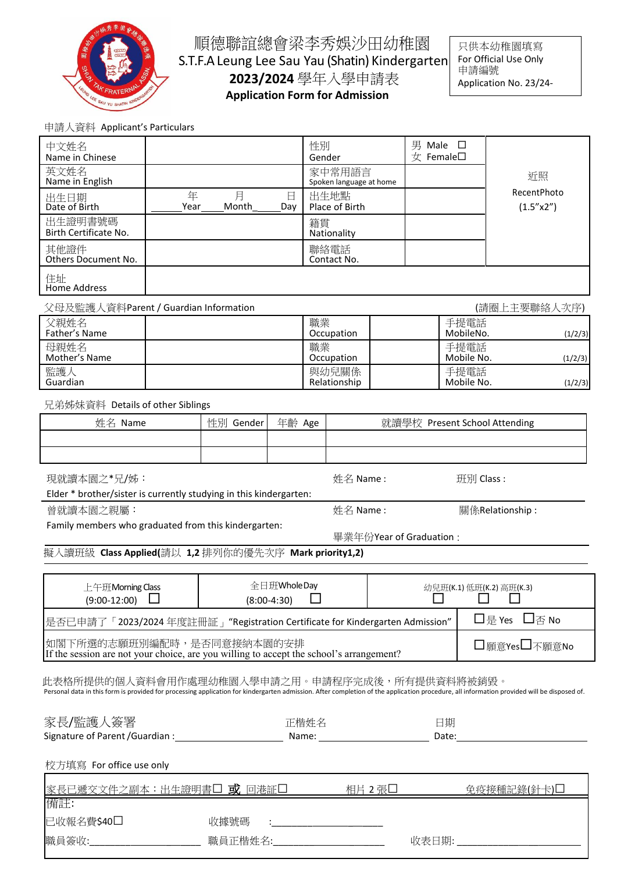

順德聯誼總會梁李秀娛沙田幼稚園 S.T.F.A Leung Lee Sau Yau (Shatin) Kindergarten **2023/2024** 學年入學申請表 **Application Form for Admission**

只供本幼稚園填寫 For Official Use Only 申請編號 Application No. 23/24-

申請人資料 Applicant's Particulars

| 于明八貝鬥 $\Gamma$ рріїсант з гантісціан                                                                                                                                                       |           |            |               |                                                            |  |                                    |                          |                                                                                                                                                                                                                                      |
|--------------------------------------------------------------------------------------------------------------------------------------------------------------------------------------------|-----------|------------|---------------|------------------------------------------------------------|--|------------------------------------|--------------------------|--------------------------------------------------------------------------------------------------------------------------------------------------------------------------------------------------------------------------------------|
| 中文姓名<br>Name in Chinese                                                                                                                                                                    |           |            |               | 性別<br>Gender                                               |  | 男 Male □<br>$\pm$ Female $\square$ |                          |                                                                                                                                                                                                                                      |
| 英文姓名<br>Name in English                                                                                                                                                                    |           |            |               | 家中常用語言<br>Spoken language at home                          |  |                                    |                          | 近照                                                                                                                                                                                                                                   |
| 出生日期<br>Date of Birth                                                                                                                                                                      | 年<br>Year | 月<br>Month | 日<br>Day      | 出生地點<br>Place of Birth                                     |  |                                    |                          | RecentPhoto<br>(1.5'' <sub>x2</sub> ')                                                                                                                                                                                               |
| 出生證明書號碼<br>Birth Certificate No.                                                                                                                                                           |           |            |               | 籍貫<br>Nationality                                          |  |                                    |                          |                                                                                                                                                                                                                                      |
| 其他證件<br>Others Document No.                                                                                                                                                                |           |            |               | 聯絡電話<br>Contact No.                                        |  |                                    |                          |                                                                                                                                                                                                                                      |
| 住址<br><b>Home Address</b>                                                                                                                                                                  |           |            |               |                                                            |  |                                    |                          |                                                                                                                                                                                                                                      |
| 父母及監護人資料Parent / Guardian Information                                                                                                                                                      |           |            |               |                                                            |  |                                    |                          | (請圈上主要聯絡人次序)                                                                                                                                                                                                                         |
| 父親姓名<br>Father's Name                                                                                                                                                                      |           |            |               | 職業<br>Occupation                                           |  |                                    | 手提電話<br>MobileNo.        | (1/2/3)                                                                                                                                                                                                                              |
| 母親姓名<br>Mother's Name                                                                                                                                                                      |           |            |               | 職業<br>Occupation                                           |  |                                    | 手提電話<br>Mobile No.       | (1/2/3)                                                                                                                                                                                                                              |
| 監護人<br>Guardian                                                                                                                                                                            |           |            |               | 與幼兒關係<br>Relationship                                      |  |                                    | 手提電話<br>Mobile No.       | (1/2/3)                                                                                                                                                                                                                              |
| 兄弟姊妹資料 Details of other Siblings                                                                                                                                                           |           |            |               |                                                            |  |                                    |                          |                                                                                                                                                                                                                                      |
| 姓名 Name                                                                                                                                                                                    |           | 性別 Gender  | 年齡 Age        | 就讀學校 Present School Attending                              |  |                                    |                          |                                                                                                                                                                                                                                      |
|                                                                                                                                                                                            |           |            |               |                                                            |  |                                    |                          |                                                                                                                                                                                                                                      |
| 現就讀本園之*兄/姊:<br>姓名 Name:<br>班別 Class:                                                                                                                                                       |           |            |               |                                                            |  |                                    |                          |                                                                                                                                                                                                                                      |
| Elder * brother/sister is currently studying in this kindergarten:                                                                                                                         |           |            |               |                                                            |  |                                    |                          |                                                                                                                                                                                                                                      |
|                                                                                                                                                                                            |           |            |               |                                                            |  |                                    |                          |                                                                                                                                                                                                                                      |
| 曾就讀本園之親屬:                                                                                                                                                                                  |           |            |               | 姓名 Name:                                                   |  |                                    |                          | 關係Relationship:                                                                                                                                                                                                                      |
| Family members who graduated from this kindergarten:                                                                                                                                       |           |            |               |                                                            |  | 畢業年份Year of Graduation:            |                          |                                                                                                                                                                                                                                      |
| 擬入讀班級 Class Applied(請以 1,2 排列你的優先次序 Mark priority1,2)                                                                                                                                      |           |            |               |                                                            |  |                                    |                          |                                                                                                                                                                                                                                      |
|                                                                                                                                                                                            |           |            | 全日班WholeDay   |                                                            |  |                                    | 幼兒班(K.1) 低班(K.2) 高班(K.3) |                                                                                                                                                                                                                                      |
| 上午班Morning Class<br>$(9:00-12:00)$                                                                                                                                                         |           |            | $(8:00-4:30)$ |                                                            |  |                                    |                          |                                                                                                                                                                                                                                      |
| 是否已申請了「2023/2024 年度註冊証」"Registration Certificate for Kindergarten Admission"                                                                                                               |           |            |               |                                                            |  |                                    |                          | □是 Yes □否 No                                                                                                                                                                                                                         |
| 如閣下所選的志願班別編配時,是否同意接納本園的安排<br>If the session are not your choice, are you willing to accept the school's arrangement?                                                                       |           |            |               |                                                            |  |                                    |                          | □願意Yes□不願意No                                                                                                                                                                                                                         |
| 此表格所提供的個人資料會用作處理幼稚園入學申請之用。申請程序完成後,所有提供資料將被銷毀。                                                                                                                                              |           |            |               |                                                            |  |                                    |                          |                                                                                                                                                                                                                                      |
| Personal data in this form is provided for processing application for kindergarten admission. After completion of the application procedure, all information provided will be disposed of. |           |            |               |                                                            |  |                                    |                          |                                                                                                                                                                                                                                      |
| 家長/監護人簽署                                                                                                                                                                                   |           |            |               | 正楷姓名                                                       |  | 日期                                 |                          |                                                                                                                                                                                                                                      |
|                                                                                                                                                                                            |           |            |               |                                                            |  |                                    |                          | Date: <u>University of the set of the set of the set of the set of the set of the set of the set of the set of the set of the set of the set of the set of the set of the set of the set of the set of the set of the set of the</u> |
| 校方填寫 For office use only                                                                                                                                                                   |           |            |               |                                                            |  |                                    |                          |                                                                                                                                                                                                                                      |
| 家長已遞交文件之副本:出生證明書□ 或 回港証□                                                                                                                                                                   |           |            |               |                                                            |  | <u>相片 2 張□ __________</u>          |                          | <u>免疫接種記錄(針卡)凵</u>                                                                                                                                                                                                                   |
| 備註:<br>已收報名費\$40□                                                                                                                                                                          |           | 收據號碼       |               | <u> 1989 - Johann Barn, mars ar breist fan de Fryske k</u> |  |                                    |                          |                                                                                                                                                                                                                                      |
| 職員簽收:_________________________                                                                                                                                                             |           |            |               |                                                            |  |                                    |                          |                                                                                                                                                                                                                                      |